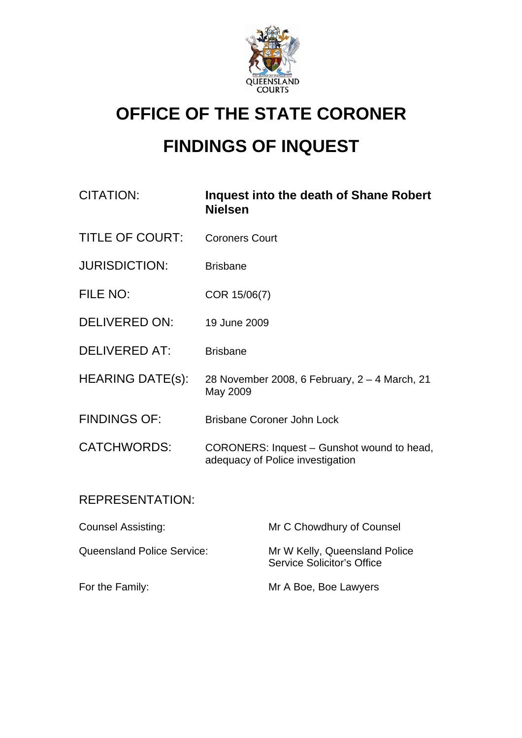

## **OFFICE OF THE STATE CORONER**

# **FINDINGS OF INQUEST**

| <b>CITATION:</b>                  | Inquest into the death of Shane Robert<br><b>Nielsen</b>                       |                                                                    |
|-----------------------------------|--------------------------------------------------------------------------------|--------------------------------------------------------------------|
| <b>TITLE OF COURT:</b>            | <b>Coroners Court</b>                                                          |                                                                    |
| <b>JURISDICTION:</b>              | <b>Brisbane</b>                                                                |                                                                    |
| FILE NO:                          | COR 15/06(7)                                                                   |                                                                    |
| <b>DELIVERED ON:</b>              | 19 June 2009                                                                   |                                                                    |
| <b>DELIVERED AT:</b>              | <b>Brisbane</b>                                                                |                                                                    |
| <b>HEARING DATE(s):</b>           | 28 November 2008, 6 February, 2 – 4 March, 21<br>May 2009                      |                                                                    |
| <b>FINDINGS OF:</b>               | <b>Brisbane Coroner John Lock</b>                                              |                                                                    |
| <b>CATCHWORDS:</b>                | CORONERS: Inquest - Gunshot wound to head,<br>adequacy of Police investigation |                                                                    |
| <b>REPRESENTATION:</b>            |                                                                                |                                                                    |
| <b>Counsel Assisting:</b>         |                                                                                | Mr C Chowdhury of Counsel                                          |
| <b>Queensland Police Service:</b> |                                                                                | Mr W Kelly, Queensland Police<br><b>Service Solicitor's Office</b> |
| For the Family:                   |                                                                                | Mr A Boe, Boe Lawyers                                              |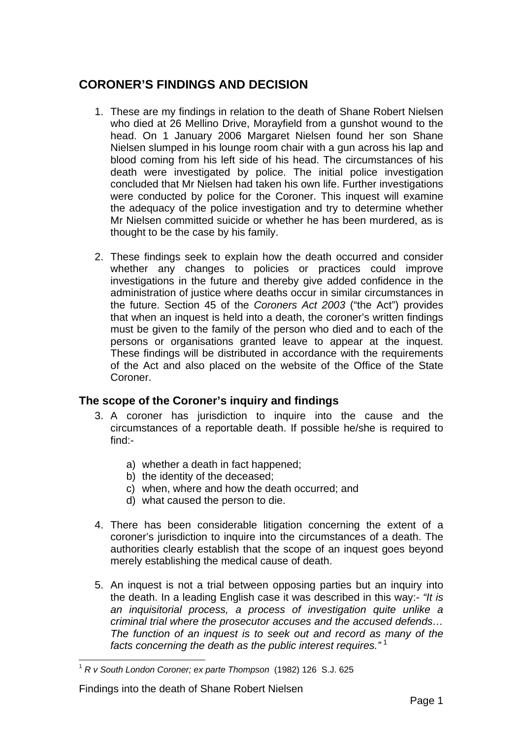## **CORONER'S FINDINGS AND DECISION**

- 1. These are my findings in relation to the death of Shane Robert Nielsen who died at 26 Mellino Drive, Morayfield from a gunshot wound to the head. On 1 January 2006 Margaret Nielsen found her son Shane Nielsen slumped in his lounge room chair with a gun across his lap and blood coming from his left side of his head. The circumstances of his death were investigated by police. The initial police investigation concluded that Mr Nielsen had taken his own life. Further investigations were conducted by police for the Coroner. This inquest will examine the adequacy of the police investigation and try to determine whether Mr Nielsen committed suicide or whether he has been murdered, as is thought to be the case by his family.
- 2. These findings seek to explain how the death occurred and consider whether any changes to policies or practices could improve investigations in the future and thereby give added confidence in the administration of justice where deaths occur in similar circumstances in the future. Section 45 of the *Coroners Act 2003* ("the Act") provides that when an inquest is held into a death, the coroner's written findings must be given to the family of the person who died and to each of the persons or organisations granted leave to appear at the inquest. These findings will be distributed in accordance with the requirements of the Act and also placed on the website of the Office of the State Coroner.

## **The scope of the Coroner's inquiry and findings**

- 3. A coroner has jurisdiction to inquire into the cause and the circumstances of a reportable death. If possible he/she is required to find:
	- a) whether a death in fact happened;
	- b) the identity of the deceased;
	- c) when, where and how the death occurred; and
	- d) what caused the person to die.
- 4. There has been considerable litigation concerning the extent of a coroner's jurisdiction to inquire into the circumstances of a death. The authorities clearly establish that the scope of an inquest goes beyond merely establishing the medical cause of death.
- 5. An inquest is not a trial between opposing parties but an inquiry into the death. In a leading English case it was described in this way:- *"It is an inquisitorial process, a process of investigation quite unlike a criminal trial where the prosecutor accuses and the accused defends… The function of an inquest is to seek out and record as many of the facts concerning the death as the public interest requires."* [1](#page-1-0)

<span id="page-1-0"></span><sup>1</sup> *R v South London Coroner; ex parte Thompson* (1982) 126 S.J. 625

Findings into the death of Shane Robert Nielsen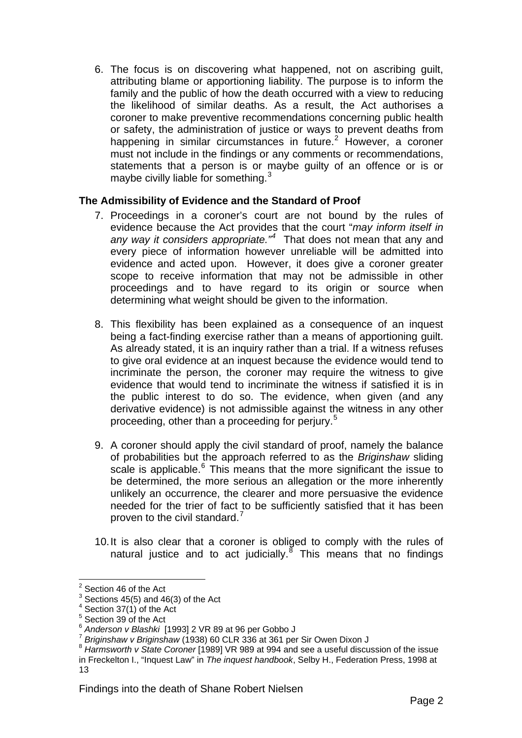6. The focus is on discovering what happened, not on ascribing guilt, attributing blame or apportioning liability. The purpose is to inform the family and the public of how the death occurred with a view to reducing the likelihood of similar deaths. As a result, the Act authorises a coroner to make preventive recommendations concerning public health or safety, the administration of justice or ways to prevent deaths from happening in similar circumstances in future. $2$  However, a coroner must not include in the findings or any comments or recommendations, statements that a person is or maybe guilty of an offence or is or maybe civilly liable for something.<sup>[3](#page-2-1)</sup>

#### **The Admissibility of Evidence and the Standard of Proof**

- 7. Proceedings in a coroner's court are not bound by the rules of evidence because the Act provides that the court "*may inform itself in*  any way it considers appropriate.<sup>"[4](#page-2-2)</sup> That does not mean that any and every piece of information however unreliable will be admitted into evidence and acted upon. However, it does give a coroner greater scope to receive information that may not be admissible in other proceedings and to have regard to its origin or source when determining what weight should be given to the information.
- 8. This flexibility has been explained as a consequence of an inquest being a fact-finding exercise rather than a means of apportioning guilt. As already stated, it is an inquiry rather than a trial. If a witness refuses to give oral evidence at an inquest because the evidence would tend to incriminate the person, the coroner may require the witness to give evidence that would tend to incriminate the witness if satisfied it is in the public interest to do so. The evidence, when given (and any derivative evidence) is not admissible against the witness in any other proceeding, other than a proceeding for perjury.<sup>[5](#page-2-3)</sup>
- 9. A coroner should apply the civil standard of proof, namely the balance of probabilities but the approach referred to as the *Briginshaw* sliding scale is applicable.<sup>[6](#page-2-4)</sup> This means that the more significant the issue to be determined, the more serious an allegation or the more inherently unlikely an occurrence, the clearer and more persuasive the evidence needed for the trier of fact to be sufficiently satisfied that it has been proven to the civil standard.<sup>[7](#page-2-5)</sup>
- 10. It is also clear that a coroner is obliged to comply with the rules of natural justice and to act judicially. $8$  This means that no findings

 $\overline{a}$  $2$  Section 46 of the Act

<span id="page-2-1"></span><span id="page-2-0"></span> $3$  Sections 45(5) and 46(3) of the Act

 $4$  Section 37(1) of the Act

<span id="page-2-2"></span><sup>&</sup>lt;sup>5</sup> Section 39 of the Act

<span id="page-2-6"></span><span id="page-2-5"></span>

<span id="page-2-4"></span><span id="page-2-3"></span> $^6$  Anderson v Blashki [1993] 2 VR 89 at 96 per Gobbo J<br>
<sup>7</sup> Briginshaw v Briginshaw (1938) 60 CLR 336 at 361 per Sir Owen Dixon J<br>
<sup>8</sup> Harmsworth v State Coroner [1989] VR 989 at 994 and see a useful discussion of the i in Freckelton I., "Inquest Law" in *The inquest handbook*, Selby H., Federation Press, 1998 at 13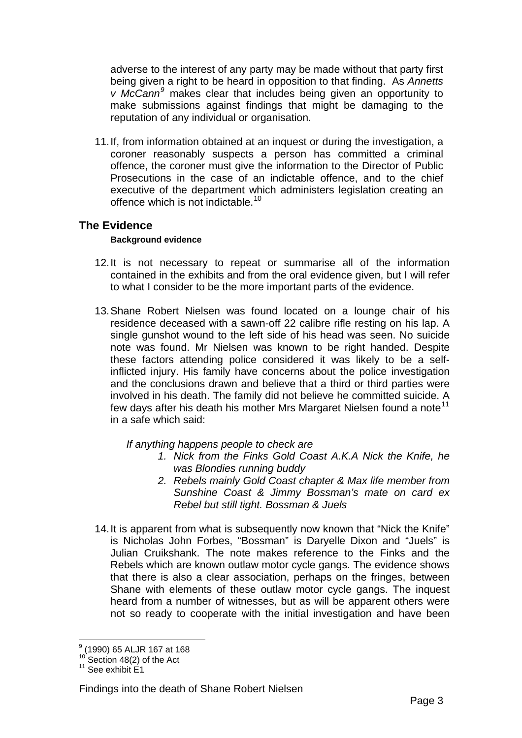adverse to the interest of any party may be made without that party first being given a right to be heard in opposition to that finding. As *Annetts v McCann[9](#page-3-0)* makes clear that includes being given an opportunity to make submissions against findings that might be damaging to the reputation of any individual or organisation.

11. If, from information obtained at an inquest or during the investigation, a coroner reasonably suspects a person has committed a criminal offence, the coroner must give the information to the Director of Public Prosecutions in the case of an indictable offence, and to the chief executive of the department which administers legislation creating an offence which is not indictable.[10](#page-3-1)

## **The Evidence**

#### **Background evidence**

- 12. It is not necessary to repeat or summarise all of the information contained in the exhibits and from the oral evidence given, but I will refer to what I consider to be the more important parts of the evidence.
- 13. Shane Robert Nielsen was found located on a lounge chair of his residence deceased with a sawn-off 22 calibre rifle resting on his lap. A single gunshot wound to the left side of his head was seen. No suicide note was found. Mr Nielsen was known to be right handed. Despite these factors attending police considered it was likely to be a selfinflicted injury. His family have concerns about the police investigation and the conclusions drawn and believe that a third or third parties were involved in his death. The family did not believe he committed suicide. A few days after his death his mother Mrs Margaret Nielsen found a note<sup>[11](#page-3-2)</sup> in a safe which said:

*If anything happens people to check are* 

- *1. Nick from the Finks Gold Coast A.K.A Nick the Knife, he was Blondies running buddy*
- *2. Rebels mainly Gold Coast chapter & Max life member from Sunshine Coast & Jimmy Bossman's mate on card ex Rebel but still tight. Bossman & Juels*
- 14. It is apparent from what is subsequently now known that "Nick the Knife" is Nicholas John Forbes, "Bossman" is Daryelle Dixon and "Juels" is Julian Cruikshank. The note makes reference to the Finks and the Rebels which are known outlaw motor cycle gangs. The evidence shows that there is also a clear association, perhaps on the fringes, between Shane with elements of these outlaw motor cycle gangs. The inquest heard from a number of witnesses, but as will be apparent others were not so ready to cooperate with the initial investigation and have been

 $\overline{a}$ 9 (1990) 65 ALJR 167 at 168

<span id="page-3-1"></span><span id="page-3-0"></span> $10^{10}$  Section 48(2) of the Act<br><sup>11</sup> See exhibit E1

<span id="page-3-2"></span>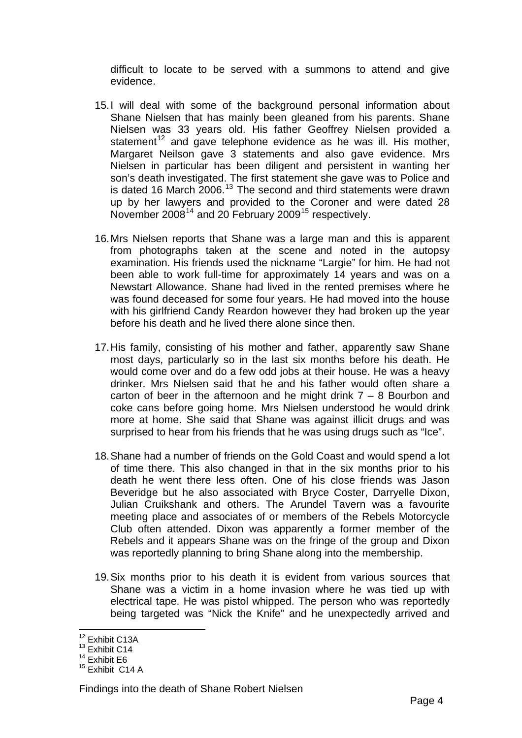difficult to locate to be served with a summons to attend and give evidence.

- 15. I will deal with some of the background personal information about Shane Nielsen that has mainly been gleaned from his parents. Shane Nielsen was 33 years old. His father Geoffrey Nielsen provided a statement<sup>[12](#page-4-0)</sup> and gave telephone evidence as he was ill. His mother, Margaret Neilson gave 3 statements and also gave evidence. Mrs Nielsen in particular has been diligent and persistent in wanting her son's death investigated. The first statement she gave was to Police and is dated 16 March  $2006$ .<sup>[13](#page-4-1)</sup> The second and third statements were drawn up by her lawyers and provided to the Coroner and were dated 28 November 2008<sup>[14](#page-4-2)</sup> and 20 February 2009<sup>[15](#page-4-3)</sup> respectively.
- 16. Mrs Nielsen reports that Shane was a large man and this is apparent from photographs taken at the scene and noted in the autopsy examination. His friends used the nickname "Largie" for him. He had not been able to work full-time for approximately 14 years and was on a Newstart Allowance. Shane had lived in the rented premises where he was found deceased for some four years. He had moved into the house with his girlfriend Candy Reardon however they had broken up the year before his death and he lived there alone since then.
- 17. His family, consisting of his mother and father, apparently saw Shane most days, particularly so in the last six months before his death. He would come over and do a few odd jobs at their house. He was a heavy drinker. Mrs Nielsen said that he and his father would often share a carton of beer in the afternoon and he might drink  $7 - 8$  Bourbon and coke cans before going home. Mrs Nielsen understood he would drink more at home. She said that Shane was against illicit drugs and was surprised to hear from his friends that he was using drugs such as "Ice".
- 18. Shane had a number of friends on the Gold Coast and would spend a lot of time there. This also changed in that in the six months prior to his death he went there less often. One of his close friends was Jason Beveridge but he also associated with Bryce Coster, Darryelle Dixon, Julian Cruikshank and others. The Arundel Tavern was a favourite meeting place and associates of or members of the Rebels Motorcycle Club often attended. Dixon was apparently a former member of the Rebels and it appears Shane was on the fringe of the group and Dixon was reportedly planning to bring Shane along into the membership.
- 19. Six months prior to his death it is evident from various sources that Shane was a victim in a home invasion where he was tied up with electrical tape. He was pistol whipped. The person who was reportedly being targeted was "Nick the Knife" and he unexpectedly arrived and

<sup>&</sup>lt;sup>12</sup> Exhibit C13A

<span id="page-4-1"></span><span id="page-4-0"></span><sup>&</sup>lt;sup>13</sup> Exhibit C14

<span id="page-4-2"></span><sup>&</sup>lt;sup>14</sup> Exhibit E6

<span id="page-4-3"></span><sup>&</sup>lt;sup>15</sup> Exhibit C14 A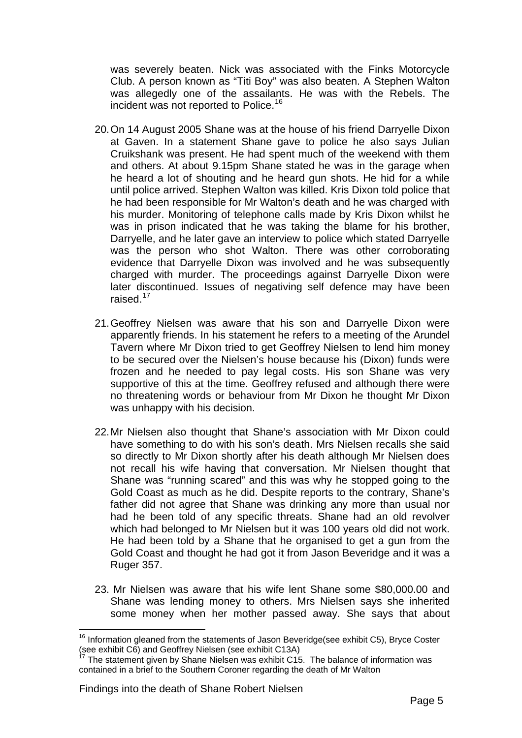was severely beaten. Nick was associated with the Finks Motorcycle Club. A person known as "Titi Boy" was also beaten. A Stephen Walton was allegedly one of the assailants. He was with the Rebels. The incident was not reported to Police.<sup>[16](#page-5-0)</sup>

- 20. On 14 August 2005 Shane was at the house of his friend Darryelle Dixon at Gaven. In a statement Shane gave to police he also says Julian Cruikshank was present. He had spent much of the weekend with them and others. At about 9.15pm Shane stated he was in the garage when he heard a lot of shouting and he heard gun shots. He hid for a while until police arrived. Stephen Walton was killed. Kris Dixon told police that he had been responsible for Mr Walton's death and he was charged with his murder. Monitoring of telephone calls made by Kris Dixon whilst he was in prison indicated that he was taking the blame for his brother, Darryelle, and he later gave an interview to police which stated Darryelle was the person who shot Walton. There was other corroborating evidence that Darryelle Dixon was involved and he was subsequently charged with murder. The proceedings against Darryelle Dixon were later discontinued. Issues of negativing self defence may have been raised.<sup>[17](#page-5-1)</sup>
- 21. Geoffrey Nielsen was aware that his son and Darryelle Dixon were apparently friends. In his statement he refers to a meeting of the Arundel Tavern where Mr Dixon tried to get Geoffrey Nielsen to lend him money to be secured over the Nielsen's house because his (Dixon) funds were frozen and he needed to pay legal costs. His son Shane was very supportive of this at the time. Geoffrey refused and although there were no threatening words or behaviour from Mr Dixon he thought Mr Dixon was unhappy with his decision.
- 22. Mr Nielsen also thought that Shane's association with Mr Dixon could have something to do with his son's death. Mrs Nielsen recalls she said so directly to Mr Dixon shortly after his death although Mr Nielsen does not recall his wife having that conversation. Mr Nielsen thought that Shane was "running scared" and this was why he stopped going to the Gold Coast as much as he did. Despite reports to the contrary, Shane's father did not agree that Shane was drinking any more than usual nor had he been told of any specific threats. Shane had an old revolver which had belonged to Mr Nielsen but it was 100 years old did not work. He had been told by a Shane that he organised to get a gun from the Gold Coast and thought he had got it from Jason Beveridge and it was a Ruger 357.
- 23. Mr Nielsen was aware that his wife lent Shane some \$80,000.00 and Shane was lending money to others. Mrs Nielsen says she inherited some money when her mother passed away. She says that about

<span id="page-5-0"></span> $16$  Information gleaned from the statements of Jason Beveridge(see exhibit C5), Bryce Coster (see exhibit C6) and Geoffrey Nielsen (see exhibit C13A)

<span id="page-5-1"></span>The statement given by Shane Nielsen was exhibit C15. The balance of information was contained in a brief to the Southern Coroner regarding the death of Mr Walton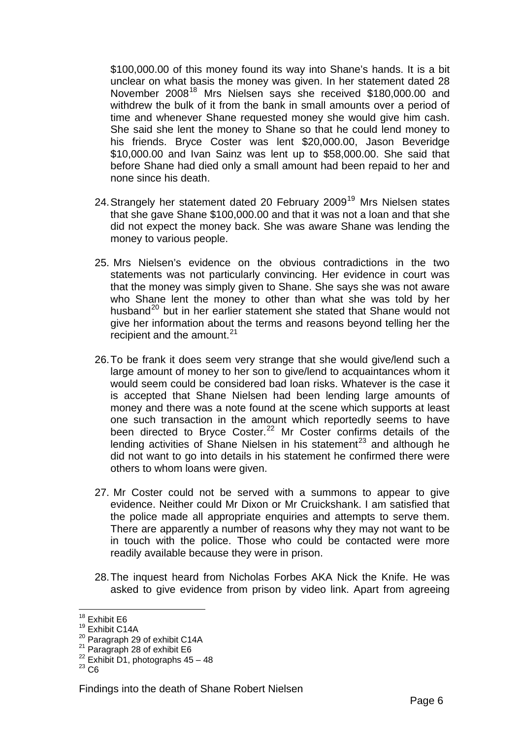\$100,000.00 of this money found its way into Shane's hands. It is a bit unclear on what basis the money was given. In her statement dated 28 November 2008<sup>[18](#page-6-0)</sup> Mrs Nielsen says she received \$180,000.00 and withdrew the bulk of it from the bank in small amounts over a period of time and whenever Shane requested money she would give him cash. She said she lent the money to Shane so that he could lend money to his friends. Bryce Coster was lent \$20,000.00, Jason Beveridge \$10,000.00 and Ivan Sainz was lent up to \$58,000.00. She said that before Shane had died only a small amount had been repaid to her and none since his death.

- 24. Strangely her statement dated 20 February 2009<sup>[19](#page-6-1)</sup> Mrs Nielsen states that she gave Shane \$100,000.00 and that it was not a loan and that she did not expect the money back. She was aware Shane was lending the money to various people.
- 25. Mrs Nielsen's evidence on the obvious contradictions in the two statements was not particularly convincing. Her evidence in court was that the money was simply given to Shane. She says she was not aware who Shane lent the money to other than what she was told by her husband<sup>[20](#page-6-2)</sup> but in her earlier statement she stated that Shane would not give her information about the terms and reasons beyond telling her the recipient and the amount. $21$
- 26. To be frank it does seem very strange that she would give/lend such a large amount of money to her son to give/lend to acquaintances whom it would seem could be considered bad loan risks. Whatever is the case it is accepted that Shane Nielsen had been lending large amounts of money and there was a note found at the scene which supports at least one such transaction in the amount which reportedly seems to have been directed to Bryce Coster.<sup>[22](#page-6-4)</sup> Mr Coster confirms details of the lending activities of Shane Nielsen in his statement<sup>[23](#page-6-5)</sup> and although he did not want to go into details in his statement he confirmed there were others to whom loans were given.
- 27. Mr Coster could not be served with a summons to appear to give evidence. Neither could Mr Dixon or Mr Cruickshank. I am satisfied that the police made all appropriate enquiries and attempts to serve them. There are apparently a number of reasons why they may not want to be in touch with the police. Those who could be contacted were more readily available because they were in prison.
- 28. The inquest heard from Nicholas Forbes AKA Nick the Knife. He was asked to give evidence from prison by video link. Apart from agreeing

<sup>&</sup>lt;sup>18</sup> Exhibit E6

<span id="page-6-1"></span><span id="page-6-0"></span><sup>&</sup>lt;sup>19</sup> Exhibit C14A<br><sup>20</sup> Paragraph 29 of exhibit C14A

<span id="page-6-4"></span><span id="page-6-3"></span><span id="page-6-2"></span><sup>&</sup>lt;sup>21</sup> Paragraph 28 of exhibit E6<br>
<sup>22</sup> Exhibit D1, photographs 45 – 48<br>
<sup>23</sup> C6

<span id="page-6-5"></span>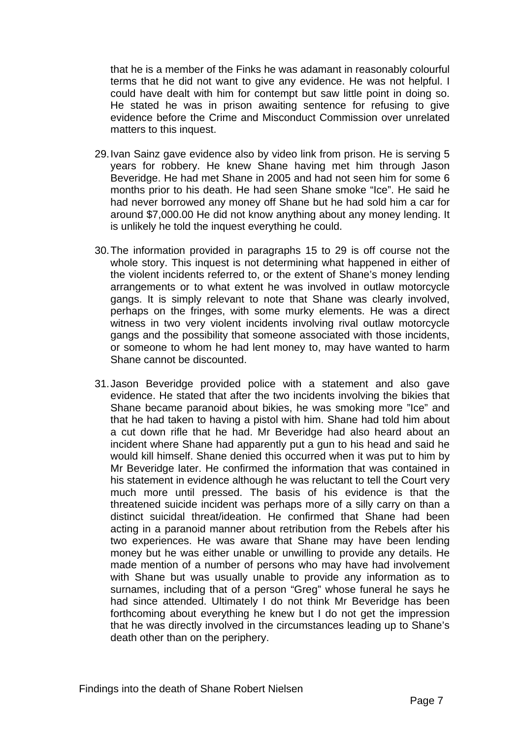that he is a member of the Finks he was adamant in reasonably colourful terms that he did not want to give any evidence. He was not helpful. I could have dealt with him for contempt but saw little point in doing so. He stated he was in prison awaiting sentence for refusing to give evidence before the Crime and Misconduct Commission over unrelated matters to this inquest.

- 29. Ivan Sainz gave evidence also by video link from prison. He is serving 5 years for robbery. He knew Shane having met him through Jason Beveridge. He had met Shane in 2005 and had not seen him for some 6 months prior to his death. He had seen Shane smoke "Ice". He said he had never borrowed any money off Shane but he had sold him a car for around \$7,000.00 He did not know anything about any money lending. It is unlikely he told the inquest everything he could.
- 30. The information provided in paragraphs 15 to 29 is off course not the whole story. This inquest is not determining what happened in either of the violent incidents referred to, or the extent of Shane's money lending arrangements or to what extent he was involved in outlaw motorcycle gangs. It is simply relevant to note that Shane was clearly involved, perhaps on the fringes, with some murky elements. He was a direct witness in two very violent incidents involving rival outlaw motorcycle gangs and the possibility that someone associated with those incidents, or someone to whom he had lent money to, may have wanted to harm Shane cannot be discounted.
- 31. Jason Beveridge provided police with a statement and also gave evidence. He stated that after the two incidents involving the bikies that Shane became paranoid about bikies, he was smoking more "Ice" and that he had taken to having a pistol with him. Shane had told him about a cut down rifle that he had. Mr Beveridge had also heard about an incident where Shane had apparently put a gun to his head and said he would kill himself. Shane denied this occurred when it was put to him by Mr Beveridge later. He confirmed the information that was contained in his statement in evidence although he was reluctant to tell the Court very much more until pressed. The basis of his evidence is that the threatened suicide incident was perhaps more of a silly carry on than a distinct suicidal threat/ideation. He confirmed that Shane had been acting in a paranoid manner about retribution from the Rebels after his two experiences. He was aware that Shane may have been lending money but he was either unable or unwilling to provide any details. He made mention of a number of persons who may have had involvement with Shane but was usually unable to provide any information as to surnames, including that of a person "Greg" whose funeral he says he had since attended. Ultimately I do not think Mr Beveridge has been forthcoming about everything he knew but I do not get the impression that he was directly involved in the circumstances leading up to Shane's death other than on the periphery.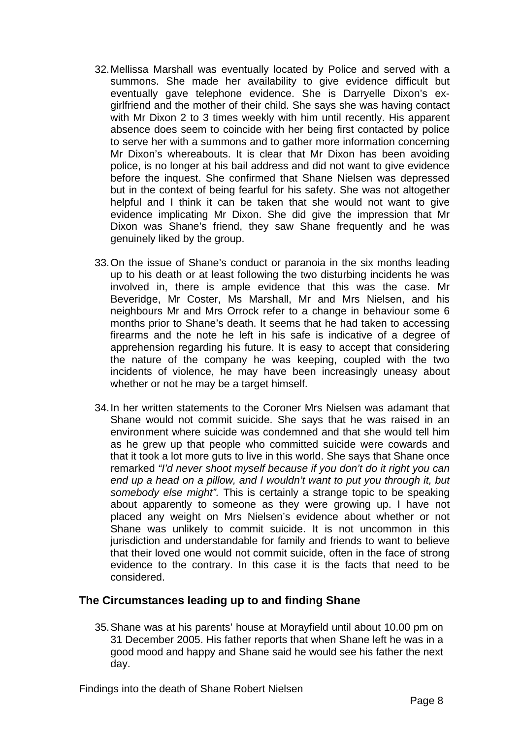- 32. Mellissa Marshall was eventually located by Police and served with a summons. She made her availability to give evidence difficult but eventually gave telephone evidence. She is Darryelle Dixon's exgirlfriend and the mother of their child. She says she was having contact with Mr Dixon 2 to 3 times weekly with him until recently. His apparent absence does seem to coincide with her being first contacted by police to serve her with a summons and to gather more information concerning Mr Dixon's whereabouts. It is clear that Mr Dixon has been avoiding police, is no longer at his bail address and did not want to give evidence before the inquest. She confirmed that Shane Nielsen was depressed but in the context of being fearful for his safety. She was not altogether helpful and I think it can be taken that she would not want to give evidence implicating Mr Dixon. She did give the impression that Mr Dixon was Shane's friend, they saw Shane frequently and he was genuinely liked by the group.
- 33. On the issue of Shane's conduct or paranoia in the six months leading up to his death or at least following the two disturbing incidents he was involved in, there is ample evidence that this was the case. Mr Beveridge, Mr Coster, Ms Marshall, Mr and Mrs Nielsen, and his neighbours Mr and Mrs Orrock refer to a change in behaviour some 6 months prior to Shane's death. It seems that he had taken to accessing firearms and the note he left in his safe is indicative of a degree of apprehension regarding his future. It is easy to accept that considering the nature of the company he was keeping, coupled with the two incidents of violence, he may have been increasingly uneasy about whether or not he may be a target himself.
- 34. In her written statements to the Coroner Mrs Nielsen was adamant that Shane would not commit suicide. She says that he was raised in an environment where suicide was condemned and that she would tell him as he grew up that people who committed suicide were cowards and that it took a lot more guts to live in this world. She says that Shane once remarked *"I'd never shoot myself because if you don't do it right you can end up a head on a pillow, and I wouldn't want to put you through it, but somebody else might".* This is certainly a strange topic to be speaking about apparently to someone as they were growing up. I have not placed any weight on Mrs Nielsen's evidence about whether or not Shane was unlikely to commit suicide. It is not uncommon in this jurisdiction and understandable for family and friends to want to believe that their loved one would not commit suicide, often in the face of strong evidence to the contrary. In this case it is the facts that need to be considered.

#### **The Circumstances leading up to and finding Shane**

35. Shane was at his parents' house at Morayfield until about 10.00 pm on 31 December 2005. His father reports that when Shane left he was in a good mood and happy and Shane said he would see his father the next day.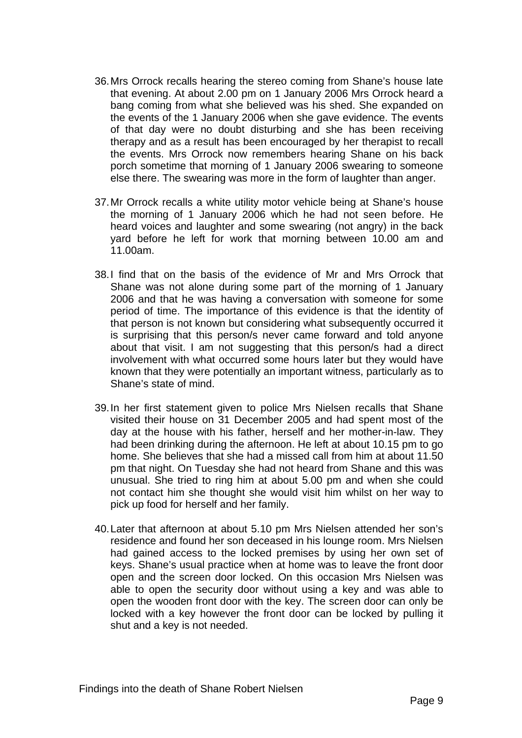- 36. Mrs Orrock recalls hearing the stereo coming from Shane's house late that evening. At about 2.00 pm on 1 January 2006 Mrs Orrock heard a bang coming from what she believed was his shed. She expanded on the events of the 1 January 2006 when she gave evidence. The events of that day were no doubt disturbing and she has been receiving therapy and as a result has been encouraged by her therapist to recall the events. Mrs Orrock now remembers hearing Shane on his back porch sometime that morning of 1 January 2006 swearing to someone else there. The swearing was more in the form of laughter than anger.
- 37. Mr Orrock recalls a white utility motor vehicle being at Shane's house the morning of 1 January 2006 which he had not seen before. He heard voices and laughter and some swearing (not angry) in the back yard before he left for work that morning between 10.00 am and 11.00am.
- 38. I find that on the basis of the evidence of Mr and Mrs Orrock that Shane was not alone during some part of the morning of 1 January 2006 and that he was having a conversation with someone for some period of time. The importance of this evidence is that the identity of that person is not known but considering what subsequently occurred it is surprising that this person/s never came forward and told anyone about that visit. I am not suggesting that this person/s had a direct involvement with what occurred some hours later but they would have known that they were potentially an important witness, particularly as to Shane's state of mind.
- 39. In her first statement given to police Mrs Nielsen recalls that Shane visited their house on 31 December 2005 and had spent most of the day at the house with his father, herself and her mother-in-law. They had been drinking during the afternoon. He left at about 10.15 pm to go home. She believes that she had a missed call from him at about 11.50 pm that night. On Tuesday she had not heard from Shane and this was unusual. She tried to ring him at about 5.00 pm and when she could not contact him she thought she would visit him whilst on her way to pick up food for herself and her family.
- 40. Later that afternoon at about 5.10 pm Mrs Nielsen attended her son's residence and found her son deceased in his lounge room. Mrs Nielsen had gained access to the locked premises by using her own set of keys. Shane's usual practice when at home was to leave the front door open and the screen door locked. On this occasion Mrs Nielsen was able to open the security door without using a key and was able to open the wooden front door with the key. The screen door can only be locked with a key however the front door can be locked by pulling it shut and a key is not needed.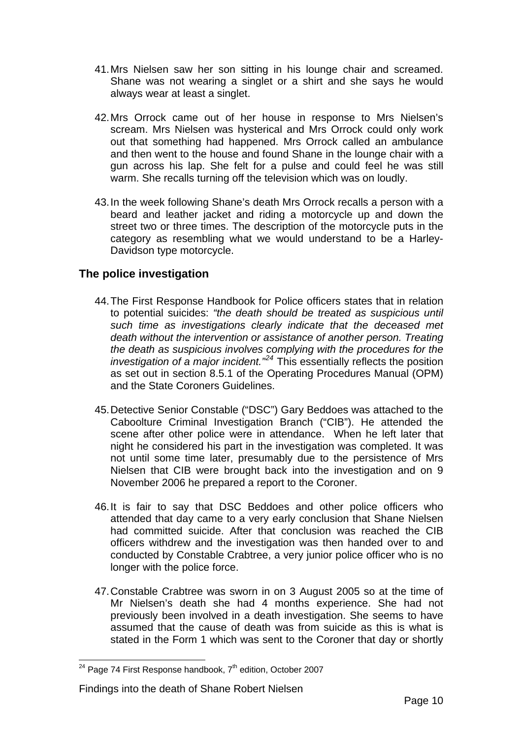- 41. Mrs Nielsen saw her son sitting in his lounge chair and screamed. Shane was not wearing a singlet or a shirt and she says he would always wear at least a singlet.
- 42. Mrs Orrock came out of her house in response to Mrs Nielsen's scream. Mrs Nielsen was hysterical and Mrs Orrock could only work out that something had happened. Mrs Orrock called an ambulance and then went to the house and found Shane in the lounge chair with a gun across his lap. She felt for a pulse and could feel he was still warm. She recalls turning off the television which was on loudly.
- 43. In the week following Shane's death Mrs Orrock recalls a person with a beard and leather jacket and riding a motorcycle up and down the street two or three times. The description of the motorcycle puts in the category as resembling what we would understand to be a Harley-Davidson type motorcycle.

## **The police investigation**

- 44. The First Response Handbook for Police officers states that in relation to potential suicides: *"the death should be treated as suspicious until such time as investigations clearly indicate that the deceased met death without the intervention or assistance of another person. Treating the death as suspicious involves complying with the procedures for the investigation of a major incident."[24](#page-10-0)* This essentially reflects the position as set out in section 8.5.1 of the Operating Procedures Manual (OPM) and the State Coroners Guidelines.
- 45. Detective Senior Constable ("DSC") Gary Beddoes was attached to the Caboolture Criminal Investigation Branch ("CIB"). He attended the scene after other police were in attendance. When he left later that night he considered his part in the investigation was completed. It was not until some time later, presumably due to the persistence of Mrs Nielsen that CIB were brought back into the investigation and on 9 November 2006 he prepared a report to the Coroner.
- 46. It is fair to say that DSC Beddoes and other police officers who attended that day came to a very early conclusion that Shane Nielsen had committed suicide. After that conclusion was reached the CIB officers withdrew and the investigation was then handed over to and conducted by Constable Crabtree, a very junior police officer who is no longer with the police force.
- 47. Constable Crabtree was sworn in on 3 August 2005 so at the time of Mr Nielsen's death she had 4 months experience. She had not previously been involved in a death investigation. She seems to have assumed that the cause of death was from suicide as this is what is stated in the Form 1 which was sent to the Coroner that day or shortly

#### Findings into the death of Shane Robert Nielsen

<span id="page-10-0"></span><sup>&</sup>lt;sup>24</sup> Page 74 First Response handbook,  $7<sup>th</sup>$  edition, October 2007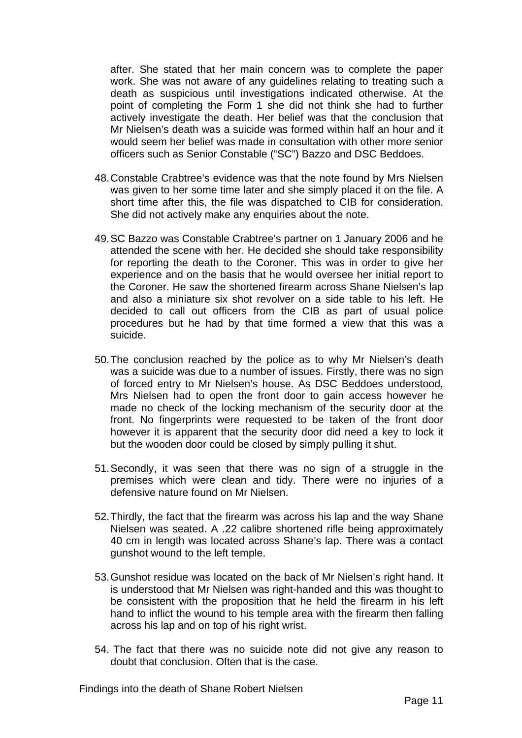after. She stated that her main concern was to complete the paper work. She was not aware of any guidelines relating to treating such a death as suspicious until investigations indicated otherwise. At the point of completing the Form 1 she did not think she had to further actively investigate the death. Her belief was that the conclusion that Mr Nielsen's death was a suicide was formed within half an hour and it would seem her belief was made in consultation with other more senior officers such as Senior Constable ("SC") Bazzo and DSC Beddoes.

- 48. Constable Crabtree's evidence was that the note found by Mrs Nielsen was given to her some time later and she simply placed it on the file. A short time after this, the file was dispatched to CIB for consideration. She did not actively make any enquiries about the note.
- 49. SC Bazzo was Constable Crabtree's partner on 1 January 2006 and he attended the scene with her. He decided she should take responsibility for reporting the death to the Coroner. This was in order to give her experience and on the basis that he would oversee her initial report to the Coroner. He saw the shortened firearm across Shane Nielsen's lap and also a miniature six shot revolver on a side table to his left. He decided to call out officers from the CIB as part of usual police procedures but he had by that time formed a view that this was a suicide.
- 50. The conclusion reached by the police as to why Mr Nielsen's death was a suicide was due to a number of issues. Firstly, there was no sign of forced entry to Mr Nielsen's house. As DSC Beddoes understood, Mrs Nielsen had to open the front door to gain access however he made no check of the locking mechanism of the security door at the front. No fingerprints were requested to be taken of the front door however it is apparent that the security door did need a key to lock it but the wooden door could be closed by simply pulling it shut.
- 51. Secondly, it was seen that there was no sign of a struggle in the premises which were clean and tidy. There were no injuries of a defensive nature found on Mr Nielsen.
- 52. Thirdly, the fact that the firearm was across his lap and the way Shane Nielsen was seated. A .22 calibre shortened rifle being approximately 40 cm in length was located across Shane's lap. There was a contact gunshot wound to the left temple.
- 53. Gunshot residue was located on the back of Mr Nielsen's right hand. It is understood that Mr Nielsen was right-handed and this was thought to be consistent with the proposition that he held the firearm in his left hand to inflict the wound to his temple area with the firearm then falling across his lap and on top of his right wrist.
- 54. The fact that there was no suicide note did not give any reason to doubt that conclusion. Often that is the case.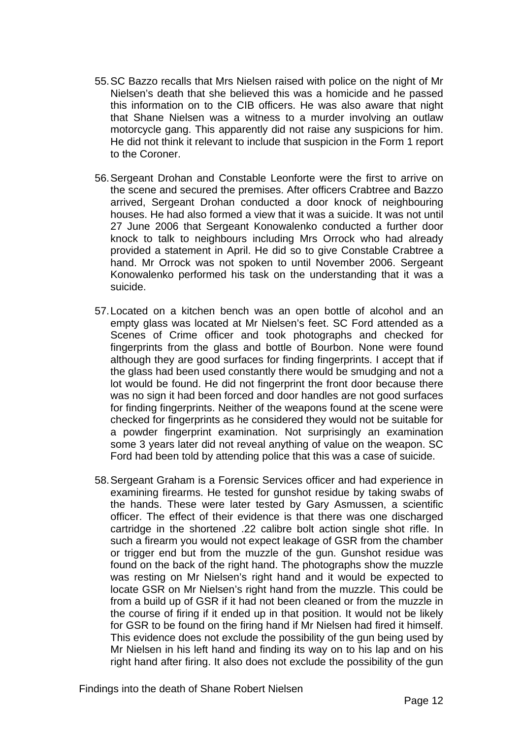- 55. SC Bazzo recalls that Mrs Nielsen raised with police on the night of Mr Nielsen's death that she believed this was a homicide and he passed this information on to the CIB officers. He was also aware that night that Shane Nielsen was a witness to a murder involving an outlaw motorcycle gang. This apparently did not raise any suspicions for him. He did not think it relevant to include that suspicion in the Form 1 report to the Coroner.
- 56. Sergeant Drohan and Constable Leonforte were the first to arrive on the scene and secured the premises. After officers Crabtree and Bazzo arrived, Sergeant Drohan conducted a door knock of neighbouring houses. He had also formed a view that it was a suicide. It was not until 27 June 2006 that Sergeant Konowalenko conducted a further door knock to talk to neighbours including Mrs Orrock who had already provided a statement in April. He did so to give Constable Crabtree a hand. Mr Orrock was not spoken to until November 2006. Sergeant Konowalenko performed his task on the understanding that it was a suicide.
- 57. Located on a kitchen bench was an open bottle of alcohol and an empty glass was located at Mr Nielsen's feet. SC Ford attended as a Scenes of Crime officer and took photographs and checked for fingerprints from the glass and bottle of Bourbon. None were found although they are good surfaces for finding fingerprints. I accept that if the glass had been used constantly there would be smudging and not a lot would be found. He did not fingerprint the front door because there was no sign it had been forced and door handles are not good surfaces for finding fingerprints. Neither of the weapons found at the scene were checked for fingerprints as he considered they would not be suitable for a powder fingerprint examination. Not surprisingly an examination some 3 years later did not reveal anything of value on the weapon. SC Ford had been told by attending police that this was a case of suicide.
- 58. Sergeant Graham is a Forensic Services officer and had experience in examining firearms. He tested for gunshot residue by taking swabs of the hands. These were later tested by Gary Asmussen, a scientific officer. The effect of their evidence is that there was one discharged cartridge in the shortened .22 calibre bolt action single shot rifle. In such a firearm you would not expect leakage of GSR from the chamber or trigger end but from the muzzle of the gun. Gunshot residue was found on the back of the right hand. The photographs show the muzzle was resting on Mr Nielsen's right hand and it would be expected to locate GSR on Mr Nielsen's right hand from the muzzle. This could be from a build up of GSR if it had not been cleaned or from the muzzle in the course of firing if it ended up in that position. It would not be likely for GSR to be found on the firing hand if Mr Nielsen had fired it himself. This evidence does not exclude the possibility of the gun being used by Mr Nielsen in his left hand and finding its way on to his lap and on his right hand after firing. It also does not exclude the possibility of the gun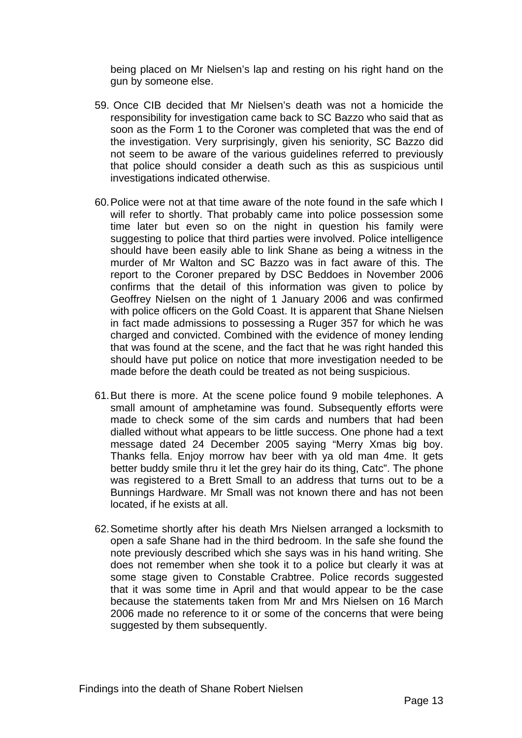being placed on Mr Nielsen's lap and resting on his right hand on the gun by someone else.

- 59. Once CIB decided that Mr Nielsen's death was not a homicide the responsibility for investigation came back to SC Bazzo who said that as soon as the Form 1 to the Coroner was completed that was the end of the investigation. Very surprisingly, given his seniority, SC Bazzo did not seem to be aware of the various guidelines referred to previously that police should consider a death such as this as suspicious until investigations indicated otherwise.
- 60. Police were not at that time aware of the note found in the safe which I will refer to shortly. That probably came into police possession some time later but even so on the night in question his family were suggesting to police that third parties were involved. Police intelligence should have been easily able to link Shane as being a witness in the murder of Mr Walton and SC Bazzo was in fact aware of this. The report to the Coroner prepared by DSC Beddoes in November 2006 confirms that the detail of this information was given to police by Geoffrey Nielsen on the night of 1 January 2006 and was confirmed with police officers on the Gold Coast. It is apparent that Shane Nielsen in fact made admissions to possessing a Ruger 357 for which he was charged and convicted. Combined with the evidence of money lending that was found at the scene, and the fact that he was right handed this should have put police on notice that more investigation needed to be made before the death could be treated as not being suspicious.
- 61. But there is more. At the scene police found 9 mobile telephones. A small amount of amphetamine was found. Subsequently efforts were made to check some of the sim cards and numbers that had been dialled without what appears to be little success. One phone had a text message dated 24 December 2005 saying "Merry Xmas big boy. Thanks fella. Enjoy morrow hav beer with ya old man 4me. It gets better buddy smile thru it let the grey hair do its thing, Catc". The phone was registered to a Brett Small to an address that turns out to be a Bunnings Hardware. Mr Small was not known there and has not been located, if he exists at all.
- 62. Sometime shortly after his death Mrs Nielsen arranged a locksmith to open a safe Shane had in the third bedroom. In the safe she found the note previously described which she says was in his hand writing. She does not remember when she took it to a police but clearly it was at some stage given to Constable Crabtree. Police records suggested that it was some time in April and that would appear to be the case because the statements taken from Mr and Mrs Nielsen on 16 March 2006 made no reference to it or some of the concerns that were being suggested by them subsequently.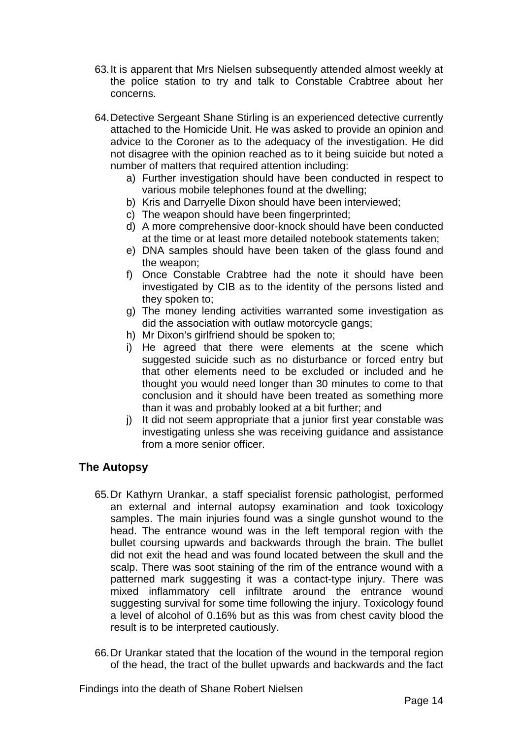- 63. It is apparent that Mrs Nielsen subsequently attended almost weekly at the police station to try and talk to Constable Crabtree about her concerns.
- 64. Detective Sergeant Shane Stirling is an experienced detective currently attached to the Homicide Unit. He was asked to provide an opinion and advice to the Coroner as to the adequacy of the investigation. He did not disagree with the opinion reached as to it being suicide but noted a number of matters that required attention including:
	- a) Further investigation should have been conducted in respect to various mobile telephones found at the dwelling;
	- b) Kris and Darryelle Dixon should have been interviewed;
	- c) The weapon should have been fingerprinted;
	- d) A more comprehensive door-knock should have been conducted at the time or at least more detailed notebook statements taken;
	- e) DNA samples should have been taken of the glass found and the weapon;
	- f) Once Constable Crabtree had the note it should have been investigated by CIB as to the identity of the persons listed and they spoken to;
	- g) The money lending activities warranted some investigation as did the association with outlaw motorcycle gangs;
	- h) Mr Dixon's girlfriend should be spoken to;
	- i) He agreed that there were elements at the scene which suggested suicide such as no disturbance or forced entry but that other elements need to be excluded or included and he thought you would need longer than 30 minutes to come to that conclusion and it should have been treated as something more than it was and probably looked at a bit further; and
	- j) It did not seem appropriate that a junior first year constable was investigating unless she was receiving guidance and assistance from a more senior officer.

### **The Autopsy**

- 65. Dr Kathyrn Urankar, a staff specialist forensic pathologist, performed an external and internal autopsy examination and took toxicology samples. The main injuries found was a single gunshot wound to the head. The entrance wound was in the left temporal region with the bullet coursing upwards and backwards through the brain. The bullet did not exit the head and was found located between the skull and the scalp. There was soot staining of the rim of the entrance wound with a patterned mark suggesting it was a contact-type injury. There was mixed inflammatory cell infiltrate around the entrance wound suggesting survival for some time following the injury. Toxicology found a level of alcohol of 0.16% but as this was from chest cavity blood the result is to be interpreted cautiously.
- 66. Dr Urankar stated that the location of the wound in the temporal region of the head, the tract of the bullet upwards and backwards and the fact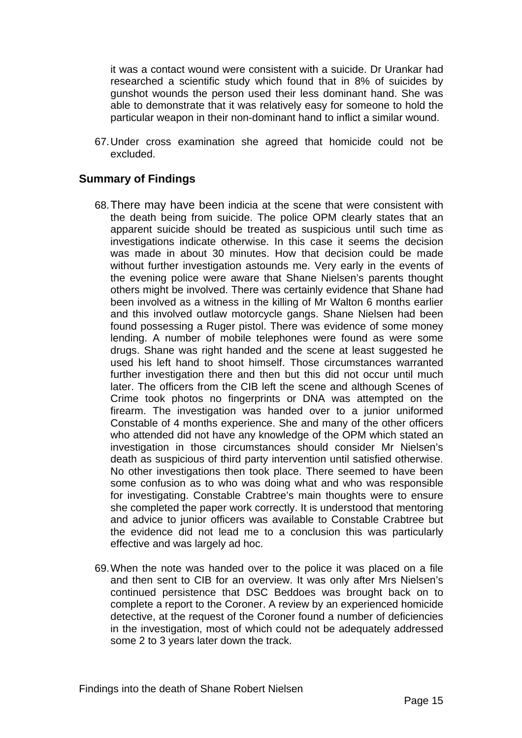it was a contact wound were consistent with a suicide. Dr Urankar had researched a scientific study which found that in 8% of suicides by gunshot wounds the person used their less dominant hand. She was able to demonstrate that it was relatively easy for someone to hold the particular weapon in their non-dominant hand to inflict a similar wound.

67. Under cross examination she agreed that homicide could not be excluded.

## **Summary of Findings**

- 68. There may have been indicia at the scene that were consistent with the death being from suicide. The police OPM clearly states that an apparent suicide should be treated as suspicious until such time as investigations indicate otherwise. In this case it seems the decision was made in about 30 minutes. How that decision could be made without further investigation astounds me. Very early in the events of the evening police were aware that Shane Nielsen's parents thought others might be involved. There was certainly evidence that Shane had been involved as a witness in the killing of Mr Walton 6 months earlier and this involved outlaw motorcycle gangs. Shane Nielsen had been found possessing a Ruger pistol. There was evidence of some money lending. A number of mobile telephones were found as were some drugs. Shane was right handed and the scene at least suggested he used his left hand to shoot himself. Those circumstances warranted further investigation there and then but this did not occur until much later. The officers from the CIB left the scene and although Scenes of Crime took photos no fingerprints or DNA was attempted on the firearm. The investigation was handed over to a junior uniformed Constable of 4 months experience. She and many of the other officers who attended did not have any knowledge of the OPM which stated an investigation in those circumstances should consider Mr Nielsen's death as suspicious of third party intervention until satisfied otherwise. No other investigations then took place. There seemed to have been some confusion as to who was doing what and who was responsible for investigating. Constable Crabtree's main thoughts were to ensure she completed the paper work correctly. It is understood that mentoring and advice to junior officers was available to Constable Crabtree but the evidence did not lead me to a conclusion this was particularly effective and was largely ad hoc.
- 69. When the note was handed over to the police it was placed on a file and then sent to CIB for an overview. It was only after Mrs Nielsen's continued persistence that DSC Beddoes was brought back on to complete a report to the Coroner. A review by an experienced homicide detective, at the request of the Coroner found a number of deficiencies in the investigation, most of which could not be adequately addressed some 2 to 3 years later down the track.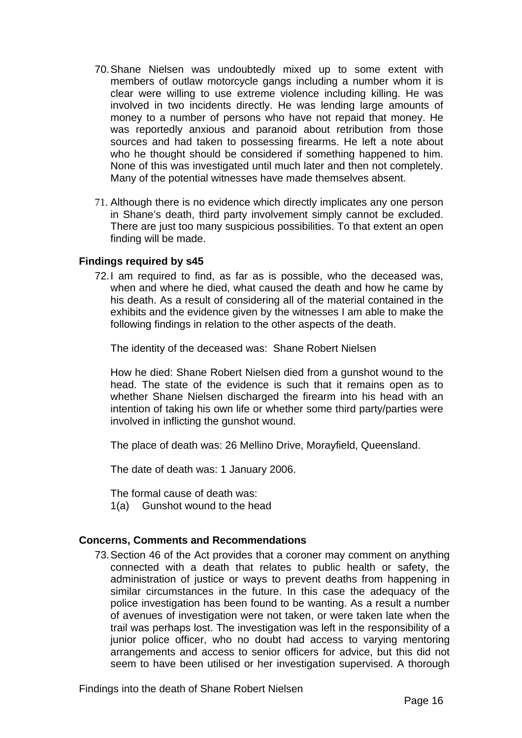- 70. Shane Nielsen was undoubtedly mixed up to some extent with members of outlaw motorcycle gangs including a number whom it is clear were willing to use extreme violence including killing. He was involved in two incidents directly. He was lending large amounts of money to a number of persons who have not repaid that money. He was reportedly anxious and paranoid about retribution from those sources and had taken to possessing firearms. He left a note about who he thought should be considered if something happened to him. None of this was investigated until much later and then not completely. Many of the potential witnesses have made themselves absent.
- 71. Although there is no evidence which directly implicates any one person in Shane's death, third party involvement simply cannot be excluded. There are just too many suspicious possibilities. To that extent an open finding will be made.

#### **Findings required by s45**

72. I am required to find, as far as is possible, who the deceased was, when and where he died, what caused the death and how he came by his death. As a result of considering all of the material contained in the exhibits and the evidence given by the witnesses I am able to make the following findings in relation to the other aspects of the death.

The identity of the deceased was: Shane Robert Nielsen

 How he died: Shane Robert Nielsen died from a gunshot wound to the head. The state of the evidence is such that it remains open as to whether Shane Nielsen discharged the firearm into his head with an intention of taking his own life or whether some third party/parties were involved in inflicting the gunshot wound.

The place of death was: 26 Mellino Drive, Morayfield, Queensland.

The date of death was: 1 January 2006.

The formal cause of death was:

1(a) Gunshot wound to the head

#### **Concerns, Comments and Recommendations**

73. Section 46 of the Act provides that a coroner may comment on anything connected with a death that relates to public health or safety, the administration of justice or ways to prevent deaths from happening in similar circumstances in the future. In this case the adequacy of the police investigation has been found to be wanting. As a result a number of avenues of investigation were not taken, or were taken late when the trail was perhaps lost. The investigation was left in the responsibility of a junior police officer, who no doubt had access to varying mentoring arrangements and access to senior officers for advice, but this did not seem to have been utilised or her investigation supervised. A thorough